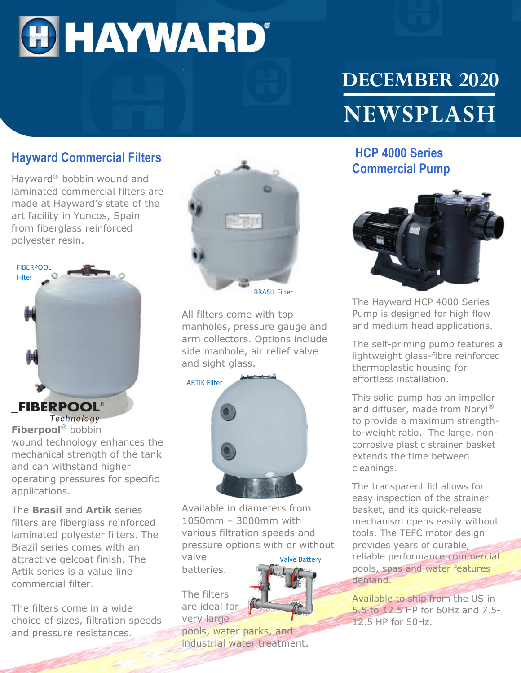

# **DECEMBER 2020 NEWSPLASH**

#### **Hayward Commercial Filters**

Hayward® bobbin wound and laminated commercial filters are made at Hayward's state of the art facility in Yuncos, Spain from fiberglass reinforced polyester resin.



Technology **Fiberpool®** bobbin wound technology enhances the mechanical strength of the tank and can withstand higher operating pressures for specific applications.

The **Brasil** and **Artik** series filters are fiberglass reinforced laminated polyester filters. The Brazil series comes with an attractive gelcoat finish. The Artik series is a value line commercial filter.

The filters come in a wide choice of sizes, filtration speeds and pressure resistances.



All filters come with top manholes, pressure gauge and arm collectors. Options include side manhole, air relief valve and sight glass.

ARTIK Filter



Available in diameters from 1050mm – 3000mm with various filtration speeds and pressure options with or without valve Valve Battery

batteries.

The filters are ideal for very large



pools, water parks, and industrial water treatment.

### **HCP 4000 Series Commercial Pump**



The Hayward HCP 4000 Series Pump is designed for high flow and medium head applications.

The self-priming pump features a lightweight glass-fibre reinforced thermoplastic housing for effortless installation.

This solid pump has an impeller and diffuser, made from Noryl® to provide a maximum strengthto-weight ratio. The large, noncorrosive plastic strainer basket extends the time between cleanings.

The transparent lid allows for easy inspection of the strainer basket, and its quick-release mechanism opens easily without tools. The TEFC motor design provides years of durable, reliable performance commercial pools, spas and water features demand.

Available to ship from the US in 5.5 to 12.5 HP for 60Hz and 7.5- 12.5 HP for 50Hz.